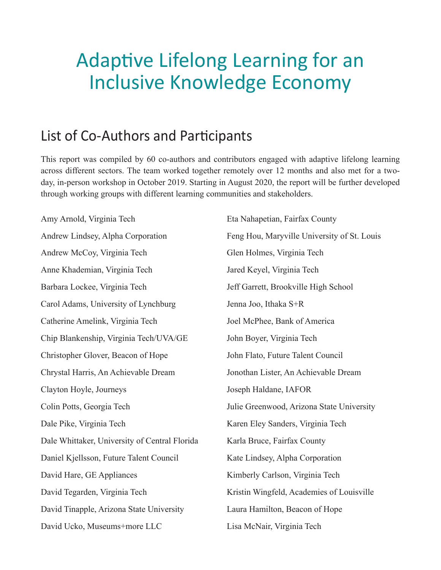## Adaptive Lifelong Learning for an Inclusive Knowledge Economy

## List of Co-Authors and Participants

This report was compiled by 60 co-authors and contributors engaged with adaptive lifelong learning across different sectors. The team worked together remotely over 12 months and also met for a twoday, in-person workshop in October 2019. Starting in August 2020, the report will be further developed through working groups with different learning communities and stakeholders.

Amy Arnold, Virginia Tech Andrew Lindsey, Alpha Corporation Andrew McCoy, Virginia Tech Anne Khademian, Virginia Tech Barbara Lockee, Virginia Tech Carol Adams, University of Lynchburg Catherine Amelink, Virginia Tech Chip Blankenship, Virginia Tech/UVA/GE Christopher Glover, Beacon of Hope Chrystal Harris, An Achievable Dream Clayton Hoyle, Journeys Colin Potts, Georgia Tech Dale Pike, Virginia Tech Dale Whittaker, University of Central Florida Daniel Kjellsson, Future Talent Council David Hare, GE Appliances David Tegarden, Virginia Tech David Tinapple, Arizona State University David Ucko, Museums+more LLC

Eta Nahapetian, Fairfax County Feng Hou, Maryville University of St. Louis Glen Holmes, Virginia Tech Jared Keyel, Virginia Tech Jeff Garrett, Brookville High School Jenna Joo, Ithaka S+R Joel McPhee, Bank of America John Boyer, Virginia Tech John Flato, Future Talent Council Jonothan Lister, An Achievable Dream Joseph Haldane, IAFOR Julie Greenwood, Arizona State University Karen Eley Sanders, Virginia Tech Karla Bruce, Fairfax County Kate Lindsey, Alpha Corporation Kimberly Carlson, Virginia Tech Kristin Wingfeld, Academies of Louisville Laura Hamilton, Beacon of Hope Lisa McNair, Virginia Tech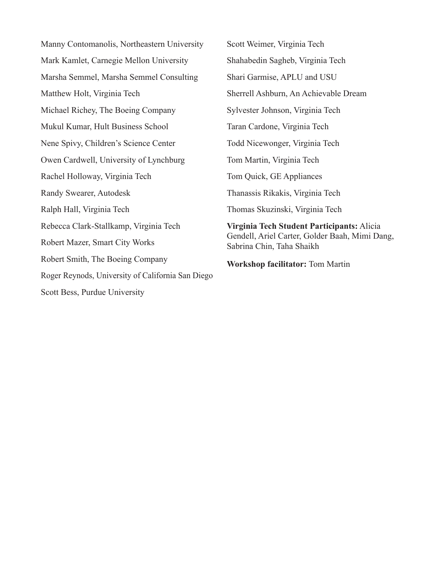Manny Contomanolis, Northeastern University Mark Kamlet, Carnegie Mellon University Marsha Semmel, Marsha Semmel Consulting Matthew Holt, Virginia Tech Michael Richey, The Boeing Company Mukul Kumar, Hult Business School Nene Spivy, Children's Science Center Owen Cardwell, University of Lynchburg Rachel Holloway, Virginia Tech Randy Swearer, Autodesk Ralph Hall, Virginia Tech Rebecca Clark-Stallkamp, Virginia Tech Robert Mazer, Smart City Works Robert Smith, The Boeing Company Roger Reynods, University of California San Diego Scott Bess, Purdue University

Scott Weimer, Virginia Tech Shahabedin Sagheb, Virginia Tech Shari Garmise, APLU and USU Sherrell Ashburn, An Achievable Dream Sylvester Johnson, Virginia Tech Taran Cardone, Virginia Tech Todd Nicewonger, Virginia Tech Tom Martin, Virginia Tech Tom Quick, GE Appliances Thanassis Rikakis, Virginia Tech Thomas Skuzinski, Virginia Tech **Virginia Tech Student Participants:** Alicia Gendell, Ariel Carter, Golder Baah, Mimi Dang, Sabrina Chin, Taha Shaikh

**Workshop facilitator:** Tom Martin